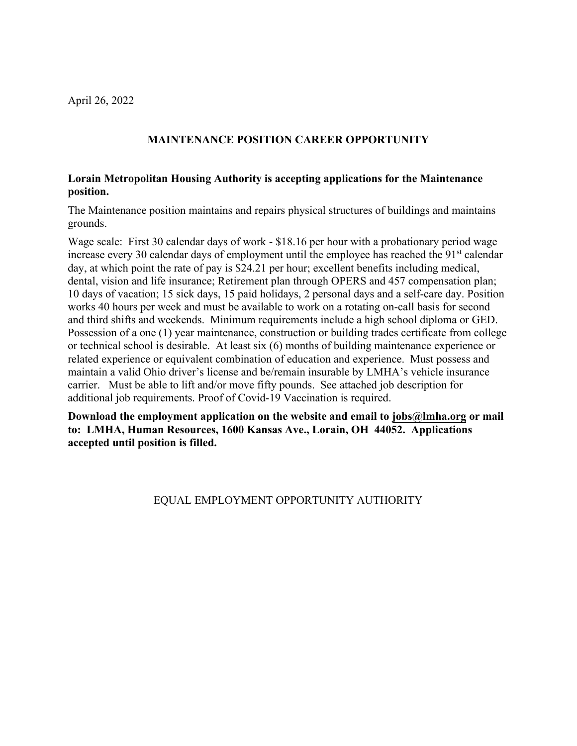# **MAINTENANCE POSITION CAREER OPPORTUNITY**

## **Lorain Metropolitan Housing Authority is accepting applications for the Maintenance position.**

The Maintenance position maintains and repairs physical structures of buildings and maintains grounds.

Wage scale: First 30 calendar days of work - \$18.16 per hour with a probationary period wage increase every 30 calendar days of employment until the employee has reached the  $91<sup>st</sup>$  calendar day, at which point the rate of pay is \$24.21 per hour; excellent benefits including medical, dental, vision and life insurance; Retirement plan through OPERS and 457 compensation plan; 10 days of vacation; 15 sick days, 15 paid holidays, 2 personal days and a self-care day. Position works 40 hours per week and must be available to work on a rotating on-call basis for second and third shifts and weekends. Minimum requirements include a high school diploma or GED. Possession of a one (1) year maintenance, construction or building trades certificate from college or technical school is desirable. At least six (6) months of building maintenance experience or related experience or equivalent combination of education and experience. Must possess and maintain a valid Ohio driver's license and be/remain insurable by LMHA's vehicle insurance carrier. Must be able to lift and/or move fifty pounds. See attached job description for additional job requirements. Proof of Covid-19 Vaccination is required.

**Download the employment application on the website and email to [jobs@lmha.org](mailto:jobs@lmha.org) or mail to: LMHA, Human Resources, 1600 Kansas Ave., Lorain, OH 44052. Applications accepted until position is filled.** 

# EQUAL EMPLOYMENT OPPORTUNITY AUTHORITY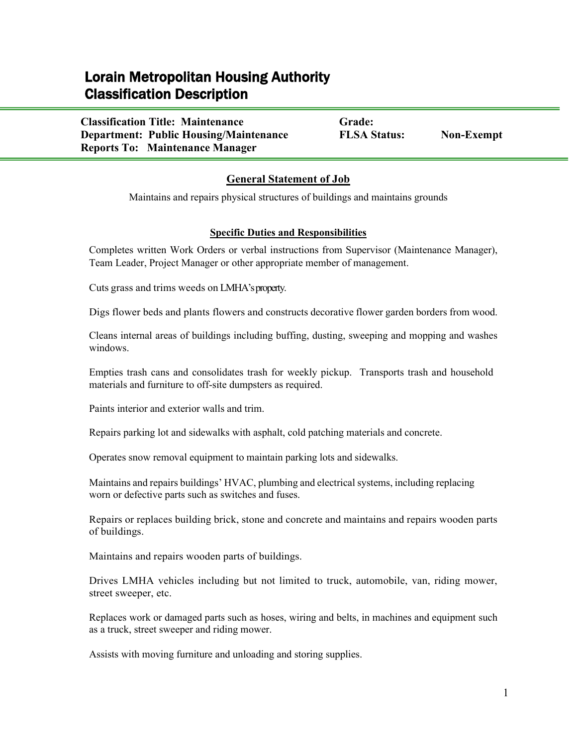# Lorain Metropolitan Housing Authority Classification Description

**Classification Title: Maintenance Grade: Department: Public Housing/Maintenance FLSA Status: Non-Exempt Reports To: Maintenance Manager**

İ

# **General Statement of Job**

Maintains and repairs physical structures of buildings and maintains grounds

## **Specific Duties and Responsibilities**

Completes written Work Orders or verbal instructions from Supervisor (Maintenance Manager), Team Leader, Project Manager or other appropriate member of management.

Cuts grass and trims weeds on LMHA'sproperty.

Digs flower beds and plants flowers and constructs decorative flower garden borders from wood.

Cleans internal areas of buildings including buffing, dusting, sweeping and mopping and washes windows.

Empties trash cans and consolidates trash for weekly pickup. Transports trash and household materials and furniture to off-site dumpsters as required.

Paints interior and exterior walls and trim.

Repairs parking lot and sidewalks with asphalt, cold patching materials and concrete.

Operates snow removal equipment to maintain parking lots and sidewalks.

Maintains and repairs buildings' HVAC, plumbing and electrical systems, including replacing worn or defective parts such as switches and fuses.

Repairs or replaces building brick, stone and concrete and maintains and repairs wooden parts of buildings.

Maintains and repairs wooden parts of buildings.

Drives LMHA vehicles including but not limited to truck, automobile, van, riding mower, street sweeper, etc.

Replaces work or damaged parts such as hoses, wiring and belts, in machines and equipment such as a truck, street sweeper and riding mower.

Assists with moving furniture and unloading and storing supplies.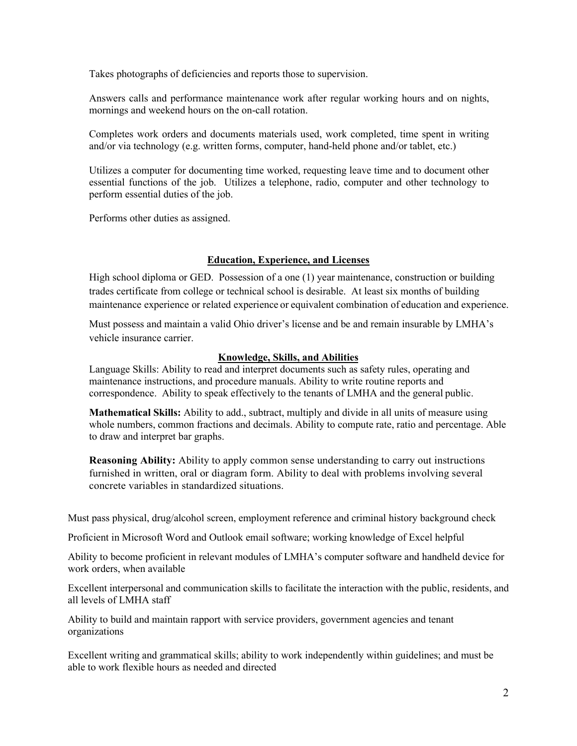Takes photographs of deficiencies and reports those to supervision.

Answers calls and performance maintenance work after regular working hours and on nights, mornings and weekend hours on the on-call rotation.

Completes work orders and documents materials used, work completed, time spent in writing and/or via technology (e.g. written forms, computer, hand-held phone and/or tablet, etc.)

Utilizes a computer for documenting time worked, requesting leave time and to document other essential functions of the job. Utilizes a telephone, radio, computer and other technology to perform essential duties of the job.

Performs other duties as assigned.

### **Education, Experience, and Licenses**

High school diploma or GED. Possession of a one (1) year maintenance, construction or building trades certificate from college or technical school is desirable. At least six months of building maintenance experience or related experience or equivalent combination of education and experience.

Must possess and maintain a valid Ohio driver's license and be and remain insurable by LMHA's vehicle insurance carrier.

#### **Knowledge, Skills, and Abilities**

Language Skills: Ability to read and interpret documents such as safety rules, operating and maintenance instructions, and procedure manuals. Ability to write routine reports and correspondence. Ability to speak effectively to the tenants of LMHA and the general public.

**Mathematical Skills:** Ability to add., subtract, multiply and divide in all units of measure using whole numbers, common fractions and decimals. Ability to compute rate, ratio and percentage. Able to draw and interpret bar graphs.

**Reasoning Ability:** Ability to apply common sense understanding to carry out instructions furnished in written, oral or diagram form. Ability to deal with problems involving several concrete variables in standardized situations.

Must pass physical, drug/alcohol screen, employment reference and criminal history background check

Proficient in Microsoft Word and Outlook email software; working knowledge of Excel helpful

Ability to become proficient in relevant modules of LMHA's computer software and handheld device for work orders, when available

Excellent interpersonal and communication skills to facilitate the interaction with the public, residents, and all levels of LMHA staff

Ability to build and maintain rapport with service providers, government agencies and tenant organizations

Excellent writing and grammatical skills; ability to work independently within guidelines; and must be able to work flexible hours as needed and directed